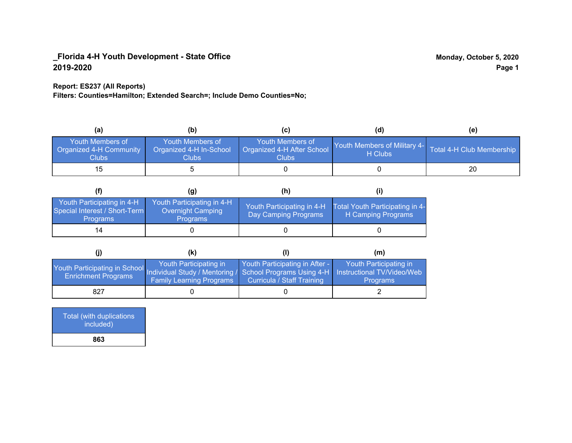## **Report: ES237 (All Reports)**

**Filters: Counties=Hamilton; Extended Search=; Include Demo Counties=No;**

| (a)                                                                | (b)                                                         |                                                         | (d)                                                               | (e) |
|--------------------------------------------------------------------|-------------------------------------------------------------|---------------------------------------------------------|-------------------------------------------------------------------|-----|
| <b>Youth Members of</b><br><b>Organized 4-H Community</b><br>Clubs | Youth Members of<br>Organized 4-H In-School<br><b>Clubs</b> | Youth Members of<br>Organized 4-H After School<br>Clubs | Youth Members of Military 4- Total 4-H Club Membership<br>H Clubs |     |
| 15.                                                                |                                                             |                                                         |                                                                   | 20  |

|                                                                                | (q)                                                                       | (h)                                                |                                                       |
|--------------------------------------------------------------------------------|---------------------------------------------------------------------------|----------------------------------------------------|-------------------------------------------------------|
| Youth Participating in 4-H<br>Special Interest / Short-Term<br><b>Programs</b> | Youth Participating in 4-H<br><b>Overnight Camping</b><br><b>Programs</b> | Youth Participating in 4-H<br>Day Camping Programs | Total Youth Participating in 4-<br>H Camping Programs |
| 14                                                                             |                                                                           |                                                    |                                                       |

|                                                                                                                                                 | (k)                                                       |                                                              | (m)                                       |
|-------------------------------------------------------------------------------------------------------------------------------------------------|-----------------------------------------------------------|--------------------------------------------------------------|-------------------------------------------|
| Youth Participating in School Individual Study / Mentoring / School Programs Using 4-H Instructional TV/Video/Web<br><b>Enrichment Programs</b> | Youth Participating in<br><b>Family Learning Programs</b> | Youth Participating in After -<br>Curricula / Staff Training | Youth Participating in<br><b>Programs</b> |
| 827                                                                                                                                             |                                                           |                                                              |                                           |

Total (with duplications included) **863**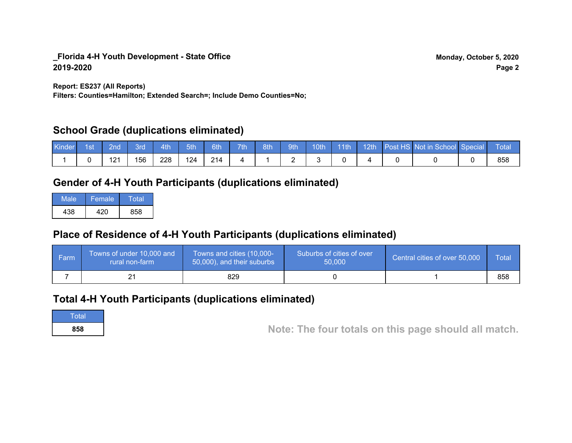**Report: ES237 (All Reports)**

**Filters: Counties=Hamilton; Extended Search=; Include Demo Counties=No;**

# **School Grade (duplications eliminated)**

| <b>Kinder</b> | 1st | 2nd          | 3rd | 4th | 5th | 6th | 7th | 8th | 9th | $10th$ 11th |  | 1 12th Post HS Not in School Special | ⊾ Total |
|---------------|-----|--------------|-----|-----|-----|-----|-----|-----|-----|-------------|--|--------------------------------------|---------|
|               |     | 1 O 1<br>▗▁▏ | 156 | 228 | 124 | 214 |     |     |     |             |  |                                      | 858     |

# **Gender of 4-H Youth Participants (duplications eliminated)**

| Male | Female | Total |
|------|--------|-------|
| 438  | 420    | 858   |

# **Place of Residence of 4-H Youth Participants (duplications eliminated)**

| l Farm | Towns of under 10,000 and<br>rural non-farm | Towns and cities (10,000-<br>50,000), and their suburbs | Suburbs of cities of over<br>50,000 | Central cities of over 50,000 | Total |
|--------|---------------------------------------------|---------------------------------------------------------|-------------------------------------|-------------------------------|-------|
|        |                                             | 829                                                     |                                     |                               | 858   |

# **Total 4-H Youth Participants (duplications eliminated)**

**Total** 

**<sup>858</sup> Note: The four totals on this page should all match.**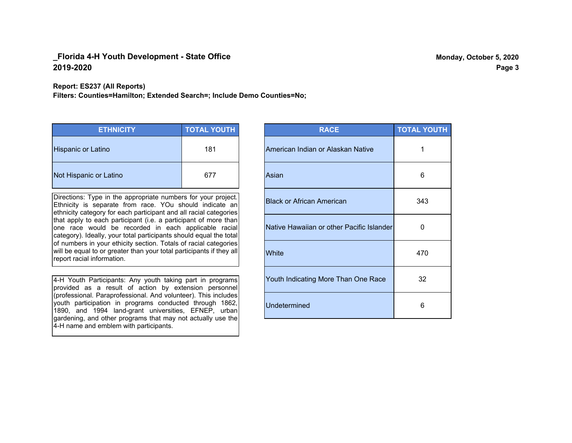#### **Report: ES237 (All Reports)**

**Filters: Counties=Hamilton; Extended Search=; Include Demo Counties=No;**

| <b>ETHNICITY</b>          | <b>TOTAL YOUTH</b> |
|---------------------------|--------------------|
| <b>Hispanic or Latino</b> | 181                |
| Not Hispanic or Latino    | 677                |

Directions: Type in the appropriate numbers for your project. Ethnicity is separate from race. YOu should indicate an ethnicity category for each participant and all racial categories that apply to each participant (i.e. a participant of more than one race would be recorded in each applicable racial category). Ideally, your total participants should equal the total of numbers in your ethicity section. Totals of racial categories will be equal to or greater than your total participants if they all report racial information.

4-H Youth Participants: Any youth taking part in programs provided as a result of action by extension personnel (professional. Paraprofessional. And volunteer). This includes youth participation in programs conducted through 1862, 1890, and 1994 land-grant universities, EFNEP, urban gardening, and other programs that may not actually use the 4-H name and emblem with participants.

| <b>RACE</b>                               | <b>TOTAL YOUTH</b> |
|-------------------------------------------|--------------------|
| American Indian or Alaskan Native         | 1                  |
| Asian                                     | 6                  |
| <b>Black or African American</b>          | 343                |
| Native Hawaiian or other Pacific Islander | 0                  |
| White                                     | 470                |
| Youth Indicating More Than One Race       | 32                 |
| <b>Undetermined</b>                       | 6                  |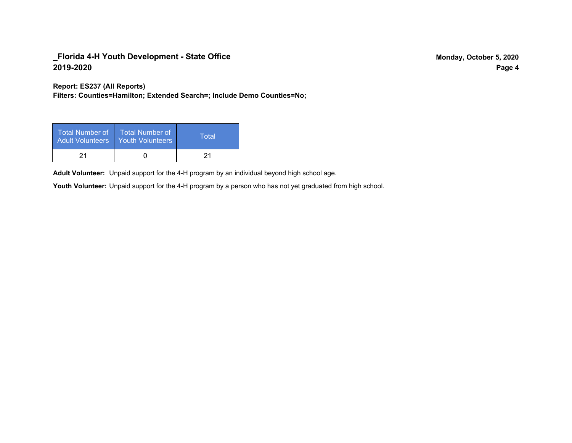**Report: ES237 (All Reports)**

**Filters: Counties=Hamilton; Extended Search=; Include Demo Counties=No;**

| Total Number of<br><b>Adult Volunteers</b> | <b>Total Number of</b><br><b>Youth Volunteers</b> | Total |
|--------------------------------------------|---------------------------------------------------|-------|
| 21                                         |                                                   | 21    |

Adult Volunteer: Unpaid support for the 4-H program by an individual beyond high school age.

Youth Volunteer: Unpaid support for the 4-H program by a person who has not yet graduated from high school.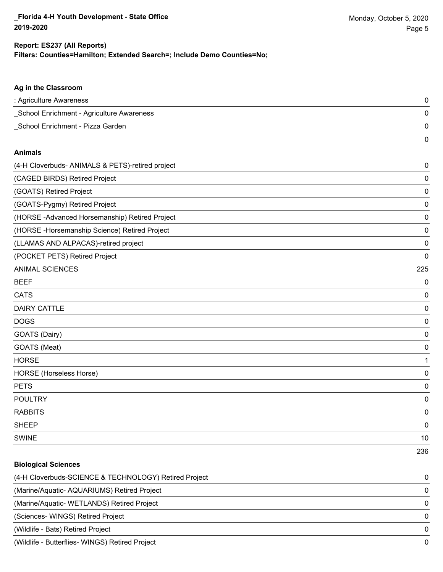#### **Filters: Counties=Hamilton; Extended Search=; Include Demo Counties=No; Report: ES237 (All Reports)**

# **Ag in the Classroom** : Agriculture Awareness 0 \_School Enrichment - Agriculture Awareness 0 \_School Enrichment - Pizza Garden 0 0 **Animals** (4-H Cloverbuds- ANIMALS & PETS)-retired project 0 (CAGED BIRDS) Retired Project 0 (GOATS) Retired Project 0 (GOATS-Pygmy) Retired Project 0 (HORSE -Advanced Horsemanship) Retired Project 0 (HORSE -Horsemanship Science) Retired Project 0 (LLAMAS AND ALPACAS)-retired project 0 (POCKET PETS) Retired Project 0 ANIMAL SCIENCES 225 BEEF 0 CATS 0 DAIRY CATTLE 0 DOGS 0 GOATS (Dairy) 0 GOATS (Meat) 0 HORSE 1 HORSE (Horseless Horse) 0 PETS 0 POULTRY 0 RABBITS 0 sheep to the control of the control of the control of the control of the control of the control of the control of the control of the control of the control of the control of the control of the control of the control of the SWINE 10 236

# **Biological Sciences** (4-H Cloverbuds-SCIENCE & TECHNOLOGY) Retired Project 0 (Marine/Aquatic- AQUARIUMS) Retired Project 0 (Marine/Aquatic- WETLANDS) Retired Project 0 (Sciences- WINGS) Retired Project 0 (Wildlife - Bats) Retired Project 0 (Wildlife - Butterflies- WINGS) Retired Project 0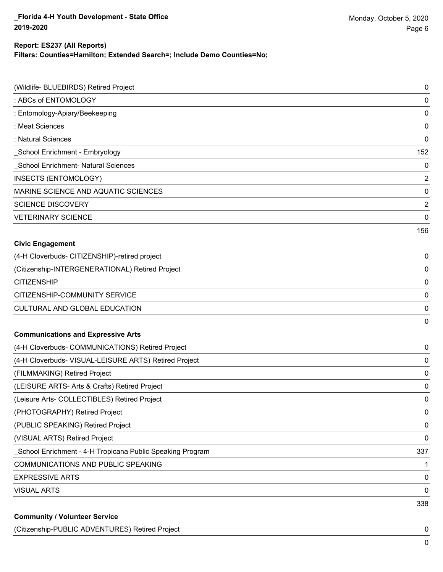#### **Report: ES237 (All Reports)**

**Filters: Counties=Hamilton; Extended Search=; Include Demo Counties=No;**

| (Wildlife- BLUEBIRDS) Retired Project                      | $\pmb{0}$      |
|------------------------------------------------------------|----------------|
| : ABCs of ENTOMOLOGY                                       | $\mathbf 0$    |
| : Entomology-Apiary/Beekeeping                             | $\mathbf 0$    |
| : Meat Sciences                                            | $\mathbf 0$    |
| : Natural Sciences                                         | $\mathbf 0$    |
| School Enrichment - Embryology                             | 152            |
| School Enrichment- Natural Sciences                        | $\mathbf 0$    |
| INSECTS (ENTOMOLOGY)                                       | $\overline{2}$ |
| MARINE SCIENCE AND AQUATIC SCIENCES                        | $\mathbf 0$    |
| <b>SCIENCE DISCOVERY</b>                                   | $\overline{2}$ |
| <b>VETERINARY SCIENCE</b>                                  | $\mathbf 0$    |
|                                                            | 156            |
| <b>Civic Engagement</b>                                    |                |
| (4-H Cloverbuds- CITIZENSHIP)-retired project              | 0              |
| (Citizenship-INTERGENERATIONAL) Retired Project            | $\mathbf 0$    |
| <b>CITIZENSHIP</b>                                         | $\mathbf 0$    |
| CITIZENSHIP-COMMUNITY SERVICE                              | $\mathbf 0$    |
| <b>CULTURAL AND GLOBAL EDUCATION</b>                       | 0              |
|                                                            | 0              |
| <b>Communications and Expressive Arts</b>                  |                |
| (4-H Cloverbuds- COMMUNICATIONS) Retired Project           | 0              |
| (4-H Cloverbuds- VISUAL-LEISURE ARTS) Retired Project      | 0              |
| (FILMMAKING) Retired Project                               | $\mathbf 0$    |
| (LEISURE ARTS- Arts & Crafts) Retired Project              | 0              |
| (Leisure Arts- COLLECTIBLES) Retired Project               | 0              |
| (PHOTOGRAPHY) Retired Project                              | 0              |
| (PUBLIC SPEAKING) Retired Project                          | $\mathbf 0$    |
| (VISUAL ARTS) Retired Project                              | $\mathbf 0$    |
| _School Enrichment - 4-H Tropicana Public Speaking Program | 337            |
| COMMUNICATIONS AND PUBLIC SPEAKING                         | 1              |
| <b>EXPRESSIVE ARTS</b>                                     | $\mathbf 0$    |
| <b>VISUAL ARTS</b>                                         | 0              |
|                                                            | 338            |
| <b>Community / Volunteer Service</b>                       |                |

(Citizenship-PUBLIC ADVENTURES) Retired Project 0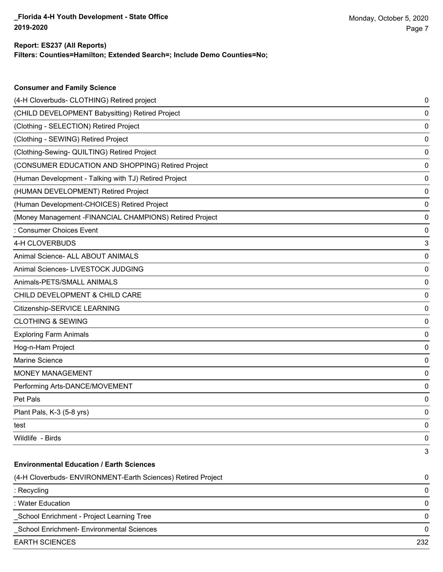**Consumer and Family Science**

## **Filters: Counties=Hamilton; Extended Search=; Include Demo Counties=No; Report: ES237 (All Reports)**

| (CHILD DEVELOPMENT Babysitting) Retired Project              |     |
|--------------------------------------------------------------|-----|
|                                                              | 0   |
| (Clothing - SELECTION) Retired Project                       | 0   |
| (Clothing - SEWING) Retired Project                          | 0   |
| (Clothing-Sewing- QUILTING) Retired Project                  | 0   |
| (CONSUMER EDUCATION AND SHOPPING) Retired Project            | 0   |
| (Human Development - Talking with TJ) Retired Project        | 0   |
| (HUMAN DEVELOPMENT) Retired Project                          | 0   |
| (Human Development-CHOICES) Retired Project                  | 0   |
| (Money Management - FINANCIAL CHAMPIONS) Retired Project     | 0   |
| : Consumer Choices Event                                     | 0   |
| 4-H CLOVERBUDS                                               | 3   |
| Animal Science- ALL ABOUT ANIMALS                            | 0   |
| Animal Sciences- LIVESTOCK JUDGING                           | 0   |
| Animals-PETS/SMALL ANIMALS                                   | 0   |
| CHILD DEVELOPMENT & CHILD CARE                               | 0   |
| Citizenship-SERVICE LEARNING                                 | 0   |
| <b>CLOTHING &amp; SEWING</b>                                 | 0   |
| <b>Exploring Farm Animals</b>                                | 0   |
| Hog-n-Ham Project                                            | 0   |
| Marine Science                                               | 0   |
| <b>MONEY MANAGEMENT</b>                                      | 0   |
| Performing Arts-DANCE/MOVEMENT                               | 0   |
| Pet Pals                                                     | 0   |
| Plant Pals, K-3 (5-8 yrs)                                    | 0   |
| test                                                         | 0   |
| Wildlife - Birds                                             | 0   |
|                                                              | 3   |
| <b>Environmental Education / Earth Sciences</b>              |     |
| (4-H Cloverbuds- ENVIRONMENT-Earth Sciences) Retired Project | 0   |
| : Recycling                                                  | 0   |
| : Water Education                                            | 0   |
| School Enrichment - Project Learning Tree                    | 0   |
| School Enrichment- Environmental Sciences                    | 0   |
| <b>EARTH SCIENCES</b>                                        | 232 |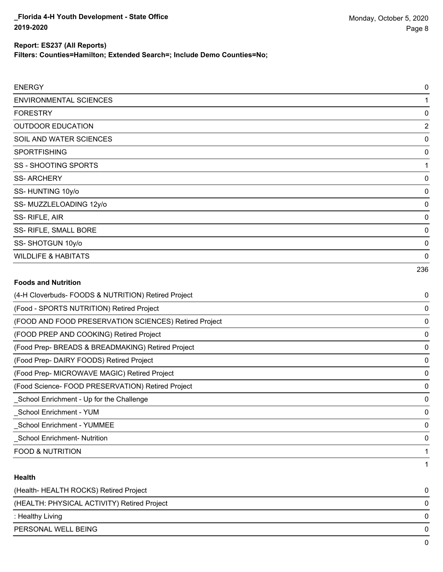**Filters: Counties=Hamilton; Extended Search=; Include Demo Counties=No;**

| <b>ENERGY</b>                  | 0              |
|--------------------------------|----------------|
| <b>ENVIRONMENTAL SCIENCES</b>  |                |
| <b>FORESTRY</b>                | 0              |
| <b>OUTDOOR EDUCATION</b>       | $\overline{2}$ |
| SOIL AND WATER SCIENCES        | 0              |
| <b>SPORTFISHING</b>            | 0              |
| <b>SS - SHOOTING SPORTS</b>    |                |
| <b>SS-ARCHERY</b>              | 0              |
| SS-HUNTING 10y/o               | 0              |
| SS-MUZZLELOADING 12y/o         | 0              |
| SS-RIFLE, AIR                  | 0              |
| SS- RIFLE, SMALL BORE          | 0              |
| SS-SHOTGUN 10y/o               | 0              |
| <b>WILDLIFE &amp; HABITATS</b> | 0              |
|                                | 236            |

## **Foods and Nutrition**

| (4-H Cloverbuds- FOODS & NUTRITION) Retired Project   | 0 |
|-------------------------------------------------------|---|
| (Food - SPORTS NUTRITION) Retired Project             | 0 |
| (FOOD AND FOOD PRESERVATION SCIENCES) Retired Project | 0 |
| (FOOD PREP AND COOKING) Retired Project               | 0 |
| (Food Prep- BREADS & BREADMAKING) Retired Project     | 0 |
| (Food Prep- DAIRY FOODS) Retired Project              | 0 |
| (Food Prep- MICROWAVE MAGIC) Retired Project          | 0 |
| (Food Science- FOOD PRESERVATION) Retired Project     | 0 |
| School Enrichment - Up for the Challenge              | 0 |
| School Enrichment - YUM                               | 0 |
| <b>School Enrichment - YUMMEE</b>                     | 0 |
| <b>School Enrichment- Nutrition</b>                   | 0 |
| <b>FOOD &amp; NUTRITION</b>                           |   |
|                                                       |   |

#### **Health**

| (Health- HEALTH ROCKS) Retired Project      | 0            |
|---------------------------------------------|--------------|
| (HEALTH: PHYSICAL ACTIVITY) Retired Project | 0            |
| : Healthy Living                            | 0            |
| PERSONAL WELL BEING                         | 0            |
|                                             | <sup>n</sup> |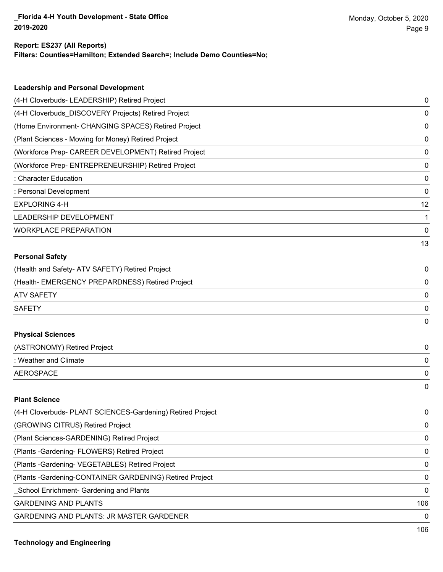#### **Report: ES237 (All Reports)**

**Filters: Counties=Hamilton; Extended Search=; Include Demo Counties=No;**

| <b>Leadership and Personal Development</b>                 |    |
|------------------------------------------------------------|----|
| (4-H Cloverbuds- LEADERSHIP) Retired Project               | 0  |
| (4-H Cloverbuds_DISCOVERY Projects) Retired Project        | 0  |
| (Home Environment- CHANGING SPACES) Retired Project        | 0  |
| (Plant Sciences - Mowing for Money) Retired Project        | 0  |
| (Workforce Prep- CAREER DEVELOPMENT) Retired Project       | 0  |
| (Workforce Prep- ENTREPRENEURSHIP) Retired Project         | 0  |
| : Character Education                                      | 0  |
| : Personal Development                                     | 0  |
| <b>EXPLORING 4-H</b>                                       | 12 |
| LEADERSHIP DEVELOPMENT                                     | 1  |
| <b>WORKPLACE PREPARATION</b>                               | 0  |
|                                                            | 13 |
| <b>Personal Safety</b>                                     |    |
| (Health and Safety- ATV SAFETY) Retired Project            | 0  |
| (Health- EMERGENCY PREPARDNESS) Retired Project            | 0  |
| <b>ATV SAFETY</b>                                          | 0  |
| <b>SAFETY</b>                                              | 0  |
|                                                            | 0  |
| <b>Physical Sciences</b>                                   |    |
| (ASTRONOMY) Retired Project                                | 0  |
| : Weather and Climate                                      | 0  |
| <b>AEROSPACE</b>                                           | 0  |
|                                                            | 0  |
| <b>Plant Science</b>                                       |    |
| (4-H Cloverbuds- PLANT SCIENCES-Gardening) Retired Project | 0  |
| (GROWING CITRUS) Retired Project                           | 0  |
| (Plant Sciences-GARDENING) Retired Project                 | 0  |
| (Plants - Gardening - FLOWERS) Retired Project             | 0  |
| (Plants - Gardening - VEGETABLES) Retired Project          | 0  |
| (Plants - Gardening-CONTAINER GARDENING) Retired Project   | 0  |
| School Enrichment- Gardening and Plants                    | 0  |

GARDENING AND PLANTS 106

GARDENING AND PLANTS: JR MASTER GARDENER 0